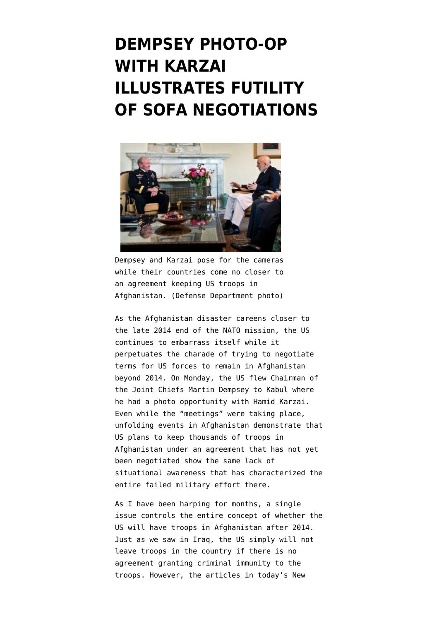## **[DEMPSEY PHOTO-OP](https://www.emptywheel.net/2013/07/23/dempsey-photo-op-with-karzai-illustrates-futility-of-sofa-negotiations/) [WITH KARZAI](https://www.emptywheel.net/2013/07/23/dempsey-photo-op-with-karzai-illustrates-futility-of-sofa-negotiations/) [ILLUSTRATES FUTILITY](https://www.emptywheel.net/2013/07/23/dempsey-photo-op-with-karzai-illustrates-futility-of-sofa-negotiations/) [OF SOFA NEGOTIATIONS](https://www.emptywheel.net/2013/07/23/dempsey-photo-op-with-karzai-illustrates-futility-of-sofa-negotiations/)**



Dempsey and Karzai pose for the cameras while their countries come no closer to an agreement keeping US troops in Afghanistan. (Defense Department photo)

As the Afghanistan disaster careens closer to the late 2014 end of the NATO mission, the US continues to embarrass itself while it perpetuates the charade of trying to negotiate terms for US forces to remain in Afghanistan beyond 2014. On Monday, the US flew Chairman of the Joint Chiefs Martin Dempsey to Kabul where he had a photo opportunity with Hamid Karzai. Even while the "meetings" were taking place, unfolding events in Afghanistan demonstrate that US plans to keep thousands of troops in Afghanistan under an agreement that has not yet been negotiated show the same lack of situational awareness that has characterized the entire failed military effort there.

As I have been [harping for months,](http://www.emptywheel.net/tag/sofa/) a single issue controls the entire concept of whether the US will have troops in Afghanistan after 2014. Just as we saw in Iraq, the US simply will not leave troops in the country if there is no agreement granting criminal immunity to the troops. However, the articles in today's [New](http://www.nytimes.com/2013/07/23/world/asia/joint-chiefs-head-hopeful-on-afghan-security-pact.html)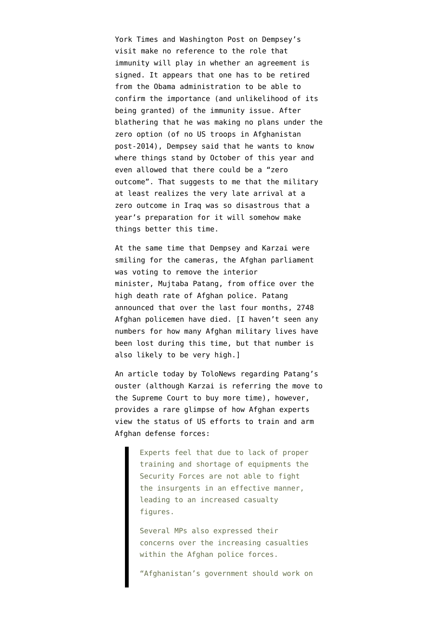[York Times](http://www.nytimes.com/2013/07/23/world/asia/joint-chiefs-head-hopeful-on-afghan-security-pact.html) and [Washington Post](http://www.washingtonpost.com/world/asia_pacific/afghan-interior-minister-ousted-by-parliament/2013/07/22/c14b8afe-f2bf-11e2-8505-bf6f231e77b4_story.html) on Dempsey's visit make no reference to the role that immunity will play in whether an agreement is signed. It appears that [one has to be retired](https://twitter.com/TVietor08/status/358204500495962112) [from the Obama administration to be able to](https://twitter.com/TVietor08/status/358204500495962112) [confirm the importance](https://twitter.com/TVietor08/status/358204500495962112) (and unlikelihood of its being granted) of the immunity issue. After blathering that he was making no plans under the zero option (of no US troops in Afghanistan post-2014), Dempsey said that he wants to know where things stand by October of this year and even allowed that there could be a "zero outcome". That suggests to me that the military at least realizes the very late arrival at a zero outcome in Iraq was so disastrous that a year's preparation for it will somehow make things better this time.

At the same time that Dempsey and Karzai were smiling for the cameras, the Afghan parliament was voting to remove the interior minister, Mujtaba Patang, from office over the high death rate of Afghan police. Patang announced that over the last four months, 2748 Afghan policemen have died. [I haven't seen any numbers for how many Afghan military lives have been lost during this time, but that number is also likely to be very high.]

An [article today by ToloNews](http://tolonews.com/en/afghanistan/11314-growing-security-forces-casualties-destroying-afghanistans-future-experts) regarding Patang's ouster (although [Karzai is referring the move to](http://www.khaama.com/karzai-refers-dismissal-of-interior-minister-to-supreme-court-2266) [the Supreme Court](http://www.khaama.com/karzai-refers-dismissal-of-interior-minister-to-supreme-court-2266) to buy more time), however, provides a rare glimpse of how Afghan experts view the status of US efforts to train and arm Afghan defense forces:

> Experts feel that due to lack of proper training and shortage of equipments the Security Forces are not able to fight the insurgents in an effective manner, leading to an increased casualty figures.

> Several MPs also expressed their concerns over the increasing casualties within the Afghan police forces.

"Afghanistan's government should work on